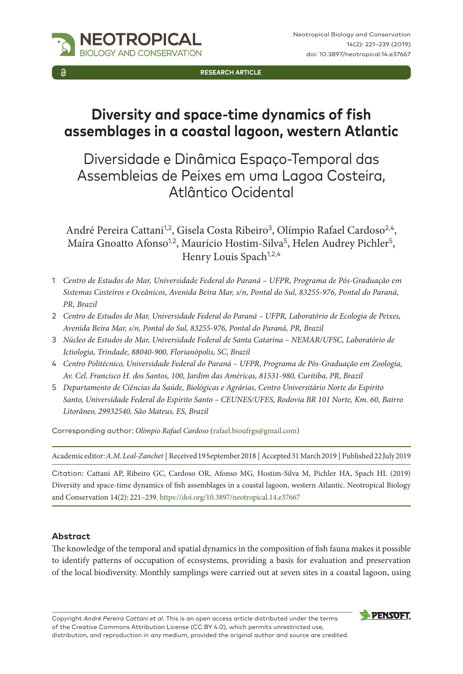

**RESEARCH ARTICLE**

# **Diversity and space-time dynamics of fish assemblages in a coastal lagoon, western Atlantic**

# Diversidade e Dinâmica Espaço-Temporal das Assembleias de Peixes em uma Lagoa Costeira, Atlântico Ocidental

André Pereira Cattani<sup>1,2</sup>, Gisela Costa Ribeiro<sup>3</sup>, Olímpio Rafael Cardoso<sup>2,4</sup>, Maíra Gnoatto Afonso<sup>1,2</sup>, Maurício Hostim-Silva<sup>5</sup>, Helen Audrey Pichler<sup>5</sup>, Henry Louis Spach<sup>1,2,4</sup>

- 1 *Centro de Estudos do Mar, Universidade Federal do Paraná UFPR, Programa de Pós-Graduação em Sistemas Costeiros e Oceânicos, Avenida Beira Mar, s/n, Pontal do Sul, 83255-976, Pontal do Paraná, PR, Brazil*
- 2 *Centro de Estudos do Mar, Universidade Federal do Paraná UFPR, Laboratório de Ecologia de Peixes, Avenida Beira Mar, s/n, Pontal do Sul, 83255-976, Pontal do Paraná, PR, Brazil*
- 3 *Núcleo de Estudos do Mar, Universidade Federal de Santa Catarina NEMAR/UFSC, Laboratório de Ictiologia, Trindade, 88040-900, Florianópolis, SC, Brazil*
- 4 *Centro Politécnico, Universidade Federal do Paraná UFPR, Programa de Pós-Graduação em Zoologia, Av. Cel. Francisco H. dos Santos, 100, Jardim das Américas, 81531-980, Curitiba, PR, Brazil*
- 5 *Departamento de Ciências da Saúde, Biológicas e Agrárias, Centro Universitário Norte do Espírito Santo, Universidade Federal do Espírito Santo – CEUNES/UFES, Rodovia BR 101 Norte, Km. 60, Bairro Litorâneo, 29932540, São Mateus, ES, Brazil*

Corresponding author: *Olímpio Rafael Cardoso* [\(rafael.bioufrgs@gmail.com](mailto:rafael.bioufrgs@gmail.com))

Academic editor: *A.M. Leal-Zanchet* | Received 19 September 2018 | Accepted 31 March 2019 | Published 22 July 2019

Citation: Cattani AP, Ribeiro GC, Cardoso OR, Afonso MG, Hostim-Silva M, Pichler HA, Spach HL (2019) Diversity and space-time dynamics of fish assemblages in a coastal lagoon, western Atlantic. Neotropical Biology and Conservation 14(2): 221–239.<https://doi.org/10.3897/neotropical.14.e37667>

### **Abstract**

The knowledge of the temporal and spatial dynamics in the composition of fish fauna makes it possible to identify patterns of occupation of ecosystems, providing a basis for evaluation and preservation of the local biodiversity. Monthly samplings were carried out at seven sites in a coastal lagoon, using

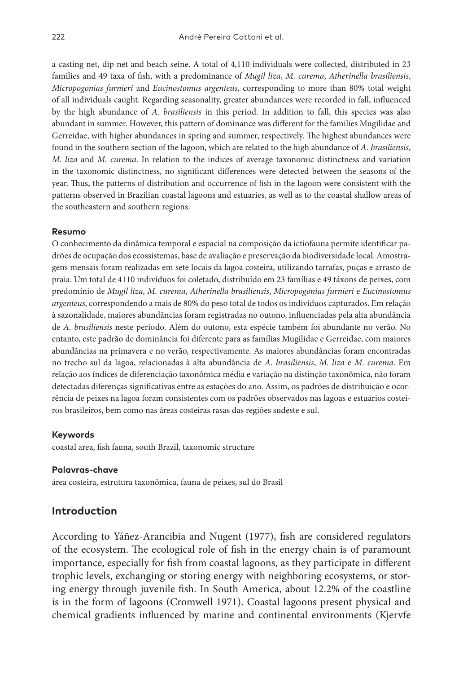a casting net, dip net and beach seine. A total of 4,110 individuals were collected, distributed in 23 families and 49 taxa of fish, with a predominance of *Mugil liza*, *M. curema*, *Atherinella brasiliensis*, *Micropogonias furnieri* and *Eucinostomus argenteus*, corresponding to more than 80% total weight of all individuals caught. Regarding seasonality, greater abundances were recorded in fall, influenced by the high abundance of *A. brasiliensis* in this period. In addition to fall, this species was also abundant in summer. However, this pattern of dominance was different for the families Mugilidae and Gerreidae, with higher abundances in spring and summer, respectively. The highest abundances were found in the southern section of the lagoon, which are related to the high abundance of *A. brasiliensis*, *M. liza* and *M. curema*. In relation to the indices of average taxonomic distinctness and variation in the taxonomic distinctness, no significant differences were detected between the seasons of the year. Thus, the patterns of distribution and occurrence of fish in the lagoon were consistent with the patterns observed in Brazilian coastal lagoons and estuaries, as well as to the coastal shallow areas of the southeastern and southern regions.

#### **Resumo**

O conhecimento da dinâmica temporal e espacial na composição da ictiofauna permite identificar padrões de ocupação dos ecossistemas, base de avaliação e preservação da biodiversidade local. Amostragens mensais foram realizadas em sete locais da lagoa costeira, utilizando tarrafas, puças e arrasto de praia. Um total de 4110 indivíduos foi coletado, distribuído em 23 famílias e 49 táxons de peixes, com predomínio de *Mugil liza*, *M. curema*, *Atherinella brasiliensis*, *Micropogonias furnieri* e *Eucinostomus argenteus*, correspondendo a mais de 80% do peso total de todos os indivíduos capturados. Em relação à sazonalidade, maiores abundâncias foram registradas no outono, influenciadas pela alta abundância de *A. brasiliensis* neste período. Além do outono, esta espécie também foi abundante no verão. No entanto, este padrão de dominância foi diferente para as famílias Mugilidae e Gerreidae, com maiores abundâncias na primavera e no verão, respectivamente. As maiores abundâncias foram encontradas no trecho sul da lagoa, relacionadas à alta abundância de *A. brasiliensis*, *M. liza* e *M. curema*. Em relação aos índices de diferenciação taxonômica média e variação na distinção taxonômica, não foram detectadas diferenças significativas entre as estações do ano. Assim, os padrões de distribuição e ocorrência de peixes na lagoa foram consistentes com os padrões observados nas lagoas e estuários costeiros brasileiros, bem como nas áreas costeiras rasas das regiões sudeste e sul.

#### **Keywords**

coastal area, fish fauna, south Brazil, taxonomic structure

#### **Palavras-chave**

área costeira, estrutura taxonômica, fauna de peixes, sul do Brasil

### **Introduction**

According to Yáñez-Arancibia and Nugent (1977), fish are considered regulators of the ecosystem. The ecological role of fish in the energy chain is of paramount importance, especially for fish from coastal lagoons, as they participate in different trophic levels, exchanging or storing energy with neighboring ecosystems, or storing energy through juvenile fish. In South America, about 12.2% of the coastline is in the form of lagoons (Cromwell 1971). Coastal lagoons present physical and chemical gradients influenced by marine and continental environments (Kjervfe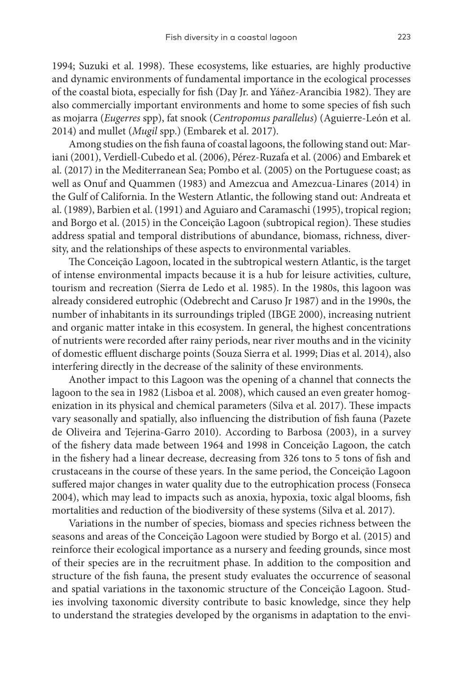1994; Suzuki et al. 1998). These ecosystems, like estuaries, are highly productive and dynamic environments of fundamental importance in the ecological processes of the coastal biota, especially for fish (Day Jr. and Yáñez-Arancibia 1982). They are also commercially important environments and home to some species of fish such as mojarra (*Eugerres* spp), fat snook (*Centropomus parallelus*) (Aguierre-León et al. 2014) and mullet (*Mugil* spp.) (Embarek et al. 2017).

Among studies on the fish fauna of coastal lagoons, the following stand out: Mariani (2001), Verdiell-Cubedo et al. (2006), Pérez-Ruzafa et al. (2006) and Embarek et al. (2017) in the Mediterranean Sea; Pombo et al. (2005) on the Portuguese coast; as well as Onuf and Quammen (1983) and Amezcua and Amezcua-Linares (2014) in the Gulf of California. In the Western Atlantic, the following stand out: Andreata et al. (1989), Barbien et al. (1991) and Aguiaro and Caramaschi (1995), tropical region; and Borgo et al. (2015) in the Conceição Lagoon (subtropical region). These studies address spatial and temporal distributions of abundance, biomass, richness, diversity, and the relationships of these aspects to environmental variables.

The Conceição Lagoon, located in the subtropical western Atlantic, is the target of intense environmental impacts because it is a hub for leisure activities, culture, tourism and recreation (Sierra de Ledo et al. 1985). In the 1980s, this lagoon was already considered eutrophic (Odebrecht and Caruso Jr 1987) and in the 1990s, the number of inhabitants in its surroundings tripled (IBGE 2000), increasing nutrient and organic matter intake in this ecosystem. In general, the highest concentrations of nutrients were recorded after rainy periods, near river mouths and in the vicinity of domestic effluent discharge points (Souza Sierra et al. 1999; Dias et al. 2014), also interfering directly in the decrease of the salinity of these environments.

Another impact to this Lagoon was the opening of a channel that connects the lagoon to the sea in 1982 (Lisboa et al. 2008), which caused an even greater homogenization in its physical and chemical parameters (Silva et al. 2017). These impacts vary seasonally and spatially, also influencing the distribution of fish fauna (Pazete de Oliveira and Tejerina-Garro 2010). According to Barbosa (2003), in a survey of the fishery data made between 1964 and 1998 in Conceição Lagoon, the catch in the fishery had a linear decrease, decreasing from 326 tons to 5 tons of fish and crustaceans in the course of these years. In the same period, the Conceição Lagoon suffered major changes in water quality due to the eutrophication process (Fonseca 2004), which may lead to impacts such as anoxia, hypoxia, toxic algal blooms, fish mortalities and reduction of the biodiversity of these systems (Silva et al. 2017).

Variations in the number of species, biomass and species richness between the seasons and areas of the Conceição Lagoon were studied by Borgo et al. (2015) and reinforce their ecological importance as a nursery and feeding grounds, since most of their species are in the recruitment phase. In addition to the composition and structure of the fish fauna, the present study evaluates the occurrence of seasonal and spatial variations in the taxonomic structure of the Conceição Lagoon. Studies involving taxonomic diversity contribute to basic knowledge, since they help to understand the strategies developed by the organisms in adaptation to the envi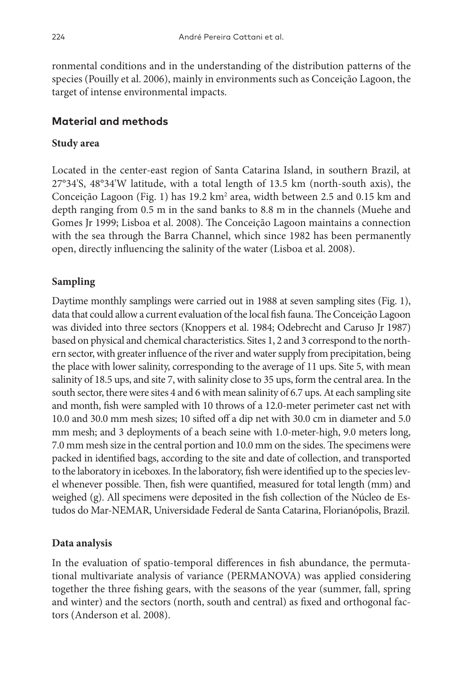ronmental conditions and in the understanding of the distribution patterns of the species (Pouilly et al. 2006), mainly in environments such as Conceição Lagoon, the target of intense environmental impacts.

# **Material and methods**

## **Study area**

Located in the center-east region of Santa Catarina Island, in southern Brazil, at 27°34'S, 48°34'W latitude, with a total length of 13.5 km (north-south axis), the Conceição Lagoon (Fig. 1) has 19.2 km<sup>2</sup> area, width between 2.5 and 0.15 km and depth ranging from 0.5 m in the sand banks to 8.8 m in the channels (Muehe and Gomes Jr 1999; Lisboa et al. 2008). The Conceição Lagoon maintains a connection with the sea through the Barra Channel, which since 1982 has been permanently open, directly influencing the salinity of the water (Lisboa et al. 2008).

# **Sampling**

Daytime monthly samplings were carried out in 1988 at seven sampling sites (Fig. 1), data that could allow a current evaluation of the local fish fauna. The Conceição Lagoon was divided into three sectors (Knoppers et al. 1984; Odebrecht and Caruso Jr 1987) based on physical and chemical characteristics. Sites 1, 2 and 3 correspond to the northern sector, with greater influence of the river and water supply from precipitation, being the place with lower salinity, corresponding to the average of 11 ups. Site 5, with mean salinity of 18.5 ups, and site 7, with salinity close to 35 ups, form the central area. In the south sector, there were sites 4 and 6 with mean salinity of 6.7 ups. At each sampling site and month, fish were sampled with 10 throws of a 12.0-meter perimeter cast net with 10.0 and 30.0 mm mesh sizes; 10 sifted off a dip net with 30.0 cm in diameter and 5.0 mm mesh; and 3 deployments of a beach seine with 1.0-meter-high, 9.0 meters long, 7.0 mm mesh size in the central portion and 10.0 mm on the sides. The specimens were packed in identified bags, according to the site and date of collection, and transported to the laboratory in iceboxes. In the laboratory, fish were identified up to the species level whenever possible. Then, fish were quantified, measured for total length (mm) and weighed (g). All specimens were deposited in the fish collection of the Núcleo de Estudos do Mar-NEMAR, Universidade Federal de Santa Catarina, Florianópolis, Brazil.

# **Data analysis**

In the evaluation of spatio-temporal differences in fish abundance, the permutational multivariate analysis of variance (PERMANOVA) was applied considering together the three fishing gears, with the seasons of the year (summer, fall, spring and winter) and the sectors (north, south and central) as fixed and orthogonal factors (Anderson et al. 2008).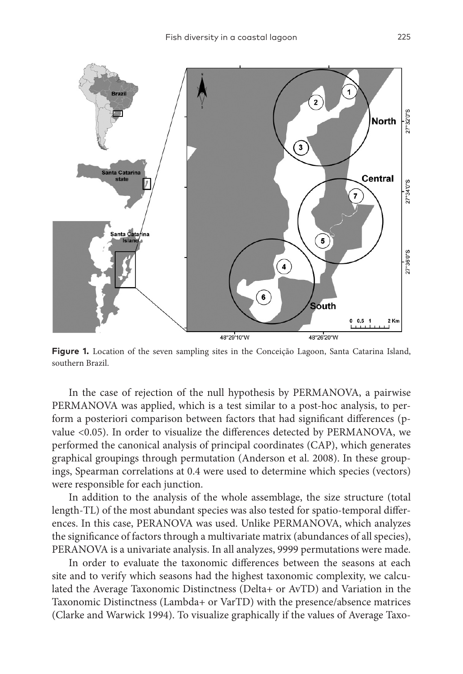

**Figure 1.** Location of the seven sampling sites in the Conceição Lagoon, Santa Catarina Island, southern Brazil.

In the case of rejection of the null hypothesis by PERMANOVA, a pairwise PERMANOVA was applied, which is a test similar to a post-hoc analysis, to perform a posteriori comparison between factors that had significant differences (pvalue <0.05). In order to visualize the differences detected by PERMANOVA, we performed the canonical analysis of principal coordinates (CAP), which generates graphical groupings through permutation (Anderson et al. 2008). In these groupings, Spearman correlations at 0.4 were used to determine which species (vectors) were responsible for each junction.

In addition to the analysis of the whole assemblage, the size structure (total length-TL) of the most abundant species was also tested for spatio-temporal differences. In this case, PERANOVA was used. Unlike PERMANOVA, which analyzes the significance of factors through a multivariate matrix (abundances of all species), PERANOVA is a univariate analysis. In all analyzes, 9999 permutations were made.

In order to evaluate the taxonomic differences between the seasons at each site and to verify which seasons had the highest taxonomic complexity, we calculated the Average Taxonomic Distinctness (Delta+ or AvTD) and Variation in the Taxonomic Distinctness (Lambda+ or VarTD) with the presence/absence matrices (Clarke and Warwick 1994). To visualize graphically if the values of Average Taxo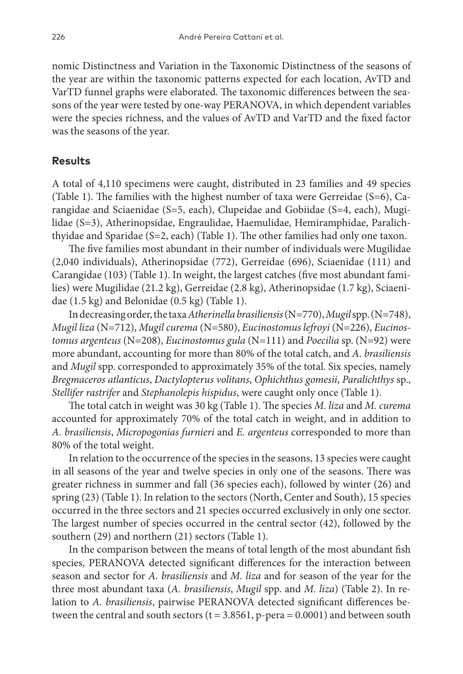nomic Distinctness and Variation in the Taxonomic Distinctness of the seasons of the year are within the taxonomic patterns expected for each location, AvTD and VarTD funnel graphs were elaborated. The taxonomic differences between the seasons of the year were tested by one-way PERANOVA, in which dependent variables were the species richness, and the values of AvTD and VarTD and the fixed factor was the seasons of the year.

## **Results**

A total of 4,110 specimens were caught, distributed in 23 families and 49 species (Table 1). The families with the highest number of taxa were Gerreidae (S=6), Carangidae and Sciaenidae (S=5, each), Clupeidae and Gobiidae (S=4, each), Mugilidae (S=3), Atherinopsidae, Engraulidae, Haemulidae, Hemiramphidae, Paralichthyidae and Sparidae (S=2, each) (Table 1). The other families had only one taxon.

The five families most abundant in their number of individuals were Mugilidae (2,040 individuals), Atherinopsidae (772), Gerreidae (696), Sciaenidae (111) and Carangidae (103) (Table 1). In weight, the largest catches (five most abundant families) were Mugilidae (21.2 kg), Gerreidae (2.8 kg), Atherinopsidae (1.7 kg), Sciaenidae (1.5 kg) and Belonidae (0.5 kg) (Table 1).

In decreasing order, the taxa *Atherinella brasiliensis* (N=770), *Mugil* spp. (N=748), *Mugil liza* (N=712), *Mugil curema* (N=580), *Eucinostomus lefroyi* (N=226), *Eucinostomus argenteus* (N=208), *Eucinostomus gula* (N=111) and *Poecilia* sp. (N=92) were more abundant, accounting for more than 80% of the total catch, and *A. brasiliensis* and *Mugil* spp. corresponded to approximately 35% of the total. Six species, namely *Bregmaceros atlanticus*, *Dactylopterus volitans*, *Ophichthus gomesii*, *Paralichthys* sp., *Stellifer rastrifer* and *Stephanolepis hispidus*, were caught only once (Table 1).

The total catch in weight was 30 kg (Table 1). The species *M. liza* and *M. curema* accounted for approximately 70% of the total catch in weight, and in addition to *A. brasiliensis*, *Micropogonias furnieri* and *E. argenteus* corresponded to more than 80% of the total weight.

In relation to the occurrence of the species in the seasons, 13 species were caught in all seasons of the year and twelve species in only one of the seasons. There was greater richness in summer and fall (36 species each), followed by winter (26) and spring (23) (Table 1). In relation to the sectors (North, Center and South), 15 species occurred in the three sectors and 21 species occurred exclusively in only one sector. The largest number of species occurred in the central sector (42), followed by the southern (29) and northern (21) sectors (Table 1).

In the comparison between the means of total length of the most abundant fish species, PERANOVA detected significant differences for the interaction between season and sector for *A. brasiliensis* and *M. liza* and for season of the year for the three most abundant taxa (*A. brasiliensis*, *Mugil* spp. and *M. liza*) (Table 2). In relation to *A. brasiliensis*, pairwise PERANOVA detected significant differences between the central and south sectors  $(t = 3.8561, p\text{-}pera = 0.0001)$  and between south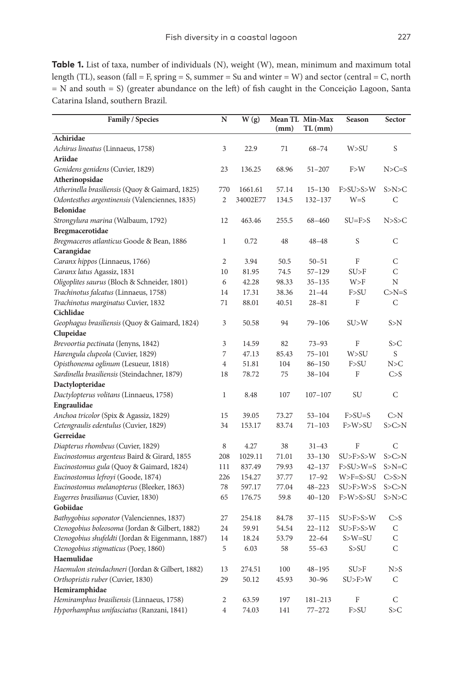**Table 1.** List of taxa, number of individuals (N), weight (W), mean, minimum and maximum total length (TL), season (fall = F, spring = S, summer = Su and winter = W) and sector (central = C, north = N and south = S) (greater abundance on the left) of fish caught in the Conceição Lagoon, Santa Catarina Island, southern Brazil.

| Family / Species                                           | ${\bf N}$      | W(g)     | (mm)  | Mean TL Min-Max<br>$TL$ (mm) | Season           | Sector       |
|------------------------------------------------------------|----------------|----------|-------|------------------------------|------------------|--------------|
| Achiridae                                                  |                |          |       |                              |                  |              |
| Achirus lineatus (Linnaeus, 1758)                          | 3              | 22.9     | 71    | $68 - 74$                    | W>SU             | S            |
| Ariidae                                                    |                |          |       |                              |                  |              |
| Genidens genidens (Cuvier, 1829)                           | 23             | 136.25   | 68.96 | $51 - 207$                   | F > W            | $N>C=S$      |
| Atherinopsidae                                             |                |          |       |                              |                  |              |
| Atherinella brasiliensis (Quoy & Gaimard, 1825)            | 770            | 1661.61  | 57.14 | $15 - 130$                   | F > SU > S > W   | S>N>C        |
| Odontesthes argentinensis (Valenciennes, 1835)             | $\overline{2}$ | 34002E77 | 134.5 | 132-137                      | $W = S$          | C            |
| <b>Belonidae</b>                                           |                |          |       |                              |                  |              |
| Strongylura marina (Walbaum, 1792)                         | 12             | 463.46   | 255.5 | 68-460                       | $SU = F > S$     | N>S>C        |
| Bregmacerotidae                                            |                |          |       |                              |                  |              |
| Bregmaceros atlanticus Goode & Bean, 1886                  | $\mathbf{1}$   | 0.72     | 48    | $48 - 48$                    | S                | C            |
| Carangidae                                                 |                |          |       |                              |                  |              |
| Caranx hippos (Linnaeus, 1766)                             | $\mathbf{2}$   | 3.94     | 50.5  | $50 - 51$                    | F                | C            |
| Caranx latus Agassiz, 1831                                 | 10             | 81.95    | 74.5  | $57 - 129$                   | SU > F           | C            |
| Oligoplites saurus (Bloch & Schneider, 1801)               | 6              | 42.28    | 98.33 | $35 - 135$                   | W>F              | N            |
| Trachinotus falcatus (Linnaeus, 1758)                      | 14             | 17.31    | 38.36 | $21 - 44$                    | F > SU           | $C>N=S$      |
| Trachinotus marginatus Cuvier, 1832                        | 71             | 88.01    | 40.51 | $28 - 81$                    | F                | $\mathsf{C}$ |
| Cichlidae                                                  |                |          |       |                              |                  |              |
| Geophagus brasiliensis (Quoy & Gaimard, 1824)<br>Clupeidae | 3              | 50.58    | 94    | $79 - 106$                   | SU > W           | S>N          |
| Brevoortia pectinata (Jenyns, 1842)                        | 3              | 14.59    | 82    | $73 - 93$                    | F                | S > C        |
| Harengula clupeola (Cuvier, 1829)                          | 7              | 47.13    | 85.43 | $75 - 101$                   | W>SU             | S            |
| Opisthonema oglinum (Lesueur, 1818)                        | $\overline{4}$ | 51.81    | 104   | $86 - 150$                   | F > SU           | N>C          |
| Sardinella brasiliensis (Steindachner, 1879)               | 18             | 78.72    | 75    | $38 - 104$                   | F                | C > S        |
| Dactylopteridae                                            |                |          |       |                              |                  |              |
| Dactylopterus volitans (Linnaeus, 1758)                    | 1              | 8.48     | 107   | $107 - 107$                  | SU               | C            |
| Engraulidae                                                |                |          |       |                              |                  |              |
| Anchoa tricolor (Spix & Agassiz, 1829)                     | 15             | 39.05    | 73.27 | $53 - 104$                   | $F > SU = S$     | C> N         |
| Cetengraulis edentulus (Cuvier, 1829)                      | 34             | 153.17   | 83.74 | $71 - 103$                   | F>W>SU           | S > C > N    |
| Gerreidae                                                  |                |          |       |                              |                  |              |
| Diapterus rhombeus (Cuvier, 1829)                          | 8              | 4.27     | 38    | $31 - 43$                    | F                | C            |
| Eucinostomus argenteus Baird & Girard, 1855                | 208            | 1029.11  | 71.01 | $33 - 130$                   | SU>F>S>W         | S > C > N    |
| Eucinostomus gula (Quoy & Gaimard, 1824)                   | 111            | 837.49   | 79.93 | $42 - 137$                   | $F > SU > W = S$ | $S>N=C$      |
| Eucinostomus lefroyi (Goode, 1874)                         | 226            | 154.27   | 37.77 | $17 - 92$                    | $W>F=S>SU$       | C > S > N    |
| Eucinostomus melanopterus (Bleeker, 1863)                  | 78             | 597.17   | 77.04 | $48 - 223$                   | SU>F>W>S         | S > C > N    |
| Eugerres brasilianus (Cuvier, 1830)                        | 65             | 176.75   | 59.8  | $40 - 120$                   | F>W>S>SU         | S>N>C        |
| Gobiidae                                                   |                |          |       |                              |                  |              |
| Bathygobius soporator (Valenciennes, 1837)                 | 27             | 254.18   | 84.78 | $37 - 115$                   | SU>F>S>W         | C > S        |
| Ctenogobius boleosoma (Jordan & Gilbert, 1882)             | 24             | 59.91    | 54.54 | $22 - 112$                   | SU>F>S>W         | C            |
| Ctenogobius shufeldti (Jordan & Eigenmann, 1887)           | 14             | 18.24    | 53.79 | $22 - 64$                    | $S>W=SU$         | $\mathsf{C}$ |
| Ctenogobius stigmaticus (Poey, 1860)                       | 5              | 6.03     | 58    | $55 - 63$                    | S > SU           | C            |
| Haemulidae                                                 |                |          |       |                              |                  |              |
| Haemulon steindachneri (Jordan & Gilbert, 1882)            | 13             | 274.51   | 100   | $48 - 195$                   | SU > F           | N > S        |
| Orthopristis ruber (Cuvier, 1830)                          | 29             | 50.12    | 45.93 | $30 - 96$                    | SU > F > W       | C            |
| Hemiramphidae                                              |                |          |       |                              |                  |              |
| Hemiramphus brasiliensis (Linnaeus, 1758)                  | $\overline{c}$ | 63.59    | 197   | 181-213                      | F                | C            |
| Hyporhamphus unifasciatus (Ranzani, 1841)                  | $\overline{4}$ | 74.03    | 141   | $77 - 272$                   | F > SU           | S > C        |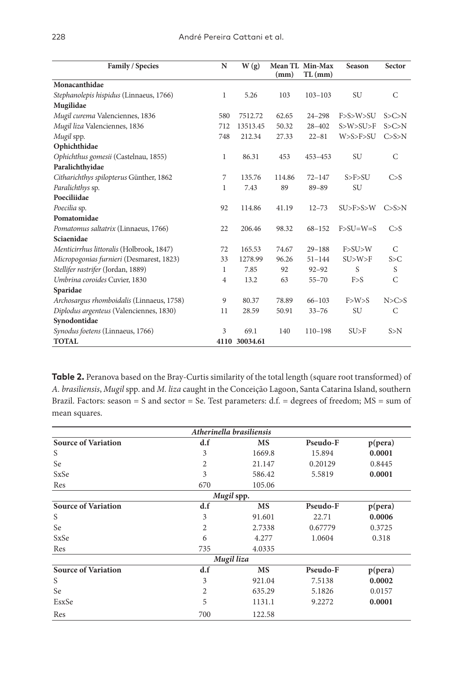| Family / Species                          | $\mathbf N$    | W(g)     |        | Mean TL Min-Max | Season                   | Sector       |
|-------------------------------------------|----------------|----------|--------|-----------------|--------------------------|--------------|
|                                           |                |          | (mm)   | $TL$ (mm)       |                          |              |
| Monacanthidae                             |                |          |        |                 |                          |              |
| Stephanolepis hispidus (Linnaeus, 1766)   | 1              | 5.26     | 103    | $103 - 103$     | <b>SU</b>                | C            |
| Mugilidae                                 |                |          |        |                 |                          |              |
| Mugil curema Valenciennes, 1836           | 580            | 7512.72  | 62.65  | $24 - 298$      | F > S > W > SU           | S > C > N    |
| Mugil liza Valenciennes, 1836             | 712            | 13513.45 | 50.32  | $28 - 402$      | S>W>SU>F                 | S > C > N    |
| Mugil spp.                                | 748            | 212.34   | 27.33  | $22 - 81$       | W>S>F>SU                 | C > S > N    |
| Ophichthidae                              |                |          |        |                 |                          |              |
| Ophichthus gomesii (Castelnau, 1855)      | 1              | 86.31    | 453    | 453-453         | SU                       | $\mathsf{C}$ |
| Paralichthyidae                           |                |          |        |                 |                          |              |
| Citharichthys spilopterus Günther, 1862   | 7              | 135.76   | 114.86 | $72 - 147$      | S > F > SU               | C > S        |
| Paralichthys sp.                          | 1              | 7.43     | 89     | $89 - 89$       | SU                       |              |
| Poeciliidae                               |                |          |        |                 |                          |              |
| Poecilia sp.                              | 92             | 114.86   | 41.19  | $12 - 73$       | SU>F>S>W                 | C>S>N        |
| Pomatomidae                               |                |          |        |                 |                          |              |
| Pomatomus saltatrix (Linnaeus, 1766)      | 22             | 206.46   | 98.32  | $68 - 152$      | $F > SU = W = S$         | C > S        |
| Sciaenidae                                |                |          |        |                 |                          |              |
| Menticirrhus littoralis (Holbrook, 1847)  | 72             | 165.53   | 74.67  | $29 - 188$      | F > SU > W               | C            |
| Micropogonias furnieri (Desmarest, 1823)  | 33             | 1278.99  | 96.26  | $51 - 144$      | SU>W>F                   | S > C        |
| Stellifer rastrifer (Jordan, 1889)        | 1              | 7.85     | 92     | $92 - 92$       | S                        | S            |
| Umbrina coroides Cuvier, 1830             | $\overline{4}$ | 13.2     | 63     | $55 - 70$       | F > S                    | $\mathsf{C}$ |
| Sparidae                                  |                |          |        |                 |                          |              |
| Archosargus rhomboidalis (Linnaeus, 1758) | 9              | 80.37    | 78.89  | $66 - 103$      | $F>W>$ S                 | N>C>S        |
| Diplodus argenteus (Valenciennes, 1830)   | 11             | 28.59    | 50.91  | $33 - 76$       | SU                       | C            |
| Synodontidae                              |                |          |        |                 |                          |              |
| Synodus foetens (Linnaeus, 1766)          | 3              | 69.1     | 140    | $110 - 198$     | $\mathrm{S}U\mathrm{>F}$ | S>N          |
| <b>TOTAL</b>                              | 4110           | 30034.61 |        |                 |                          |              |

Table 2. Peranova based on the Bray-Curtis similarity of the total length (square root transformed) of *A. brasiliensis*, *Mugil* spp. and *M. liza* caught in the Conceição Lagoon, Santa Catarina Island, southern Brazil. Factors: season = S and sector = Se. Test parameters: d.f. = degrees of freedom; MS = sum of mean squares.

| Atherinella brasiliensis   |                |           |          |                  |  |  |  |  |
|----------------------------|----------------|-----------|----------|------------------|--|--|--|--|
| <b>Source of Variation</b> | d.f            | MS        | Pseudo-F | $p(\text{pera})$ |  |  |  |  |
| S                          | 3              | 1669.8    | 15.894   | 0.0001           |  |  |  |  |
| Se                         | $\overline{c}$ | 21.147    | 0.20129  | 0.8445           |  |  |  |  |
| SxSe                       | 3              | 586.42    | 5.5819   | 0.0001           |  |  |  |  |
| Res                        | 670            | 105.06    |          |                  |  |  |  |  |
| Mugil spp.                 |                |           |          |                  |  |  |  |  |
| <b>Source of Variation</b> | d.f            | <b>MS</b> | Pseudo-F | $p(\text{pera})$ |  |  |  |  |
| S                          | 3              | 91.601    | 22.71    | 0.0006           |  |  |  |  |
| Se                         | 2              | 2.7338    | 0.67779  | 0.3725           |  |  |  |  |
| SxSe                       | 6              | 4.277     | 1.0604   | 0.318            |  |  |  |  |
| Res                        | 735            | 4.0335    |          |                  |  |  |  |  |
| Mugil liza                 |                |           |          |                  |  |  |  |  |
| <b>Source of Variation</b> | d.f            | <b>MS</b> | Pseudo-F | $p(\text{pera})$ |  |  |  |  |
| S                          | 3              | 921.04    | 7.5138   | 0.0002           |  |  |  |  |
| Se                         | 2              | 635.29    | 5.1826   | 0.0157           |  |  |  |  |
| EsxSe                      | 5              | 1131.1    | 9.2272   | 0.0001           |  |  |  |  |
| Res                        | 700            | 122.58    |          |                  |  |  |  |  |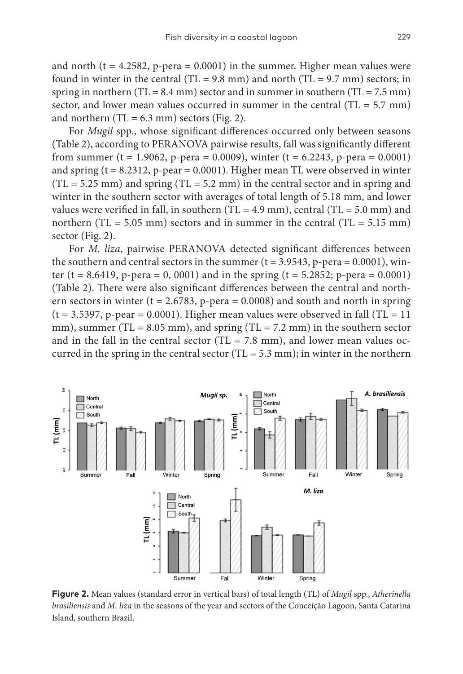and north ( $t = 4.2582$ , p-pera = 0.0001) in the summer. Higher mean values were found in winter in the central (TL = 9.8 mm) and north (TL = 9.7 mm) sectors; in spring in northern (TL =  $8.4$  mm) sector and in summer in southern (TL =  $7.5$  mm) sector, and lower mean values occurred in summer in the central  $(T<sub>L</sub> = 5.7$  mm) and northern  $(TL = 6.3$  mm) sectors (Fig. 2).

For *Mugil* spp., whose significant differences occurred only between seasons (Table 2), according to PERANOVA pairwise results, fall was significantly different from summer (t = 1.9062, p-pera = 0.0009), winter (t = 6.2243, p-pera = 0.0001) and spring  $(t = 8.2312, p\text{-}pear = 0.0001)$ . Higher mean TL were observed in winter  $(TL = 5.25$  mm) and spring  $(TL = 5.2$  mm) in the central sector and in spring and winter in the southern sector with averages of total length of 5.18 mm, and lower values were verified in fall, in southern (TL = 4.9 mm), central (TL = 5.0 mm) and northern (TL =  $5.05$  mm) sectors and in summer in the central (TL =  $5.15$  mm) sector (Fig. 2).

For *M. liza*, pairwise PERANOVA detected significant differences between the southern and central sectors in the summer  $(t = 3.9543, p\text{-}pera = 0.0001)$ , winter (t = 8.6419, p-pera = 0, 0001) and in the spring (t = 5.2852; p-pera =  $0.0001$ ) (Table 2). There were also significant differences between the central and northern sectors in winter ( $t = 2.6783$ , p-pera = 0.0008) and south and north in spring  $(t = 3.5397, p\text{-}pear = 0.0001)$ . Higher mean values were observed in fall (TL = 11) mm), summer (TL = 8.05 mm), and spring (TL = 7.2 mm) in the southern sector and in the fall in the central sector (TL = 7.8 mm), and lower mean values occurred in the spring in the central sector (TL =  $5.3$  mm); in winter in the northern



**Figure 2.** Mean values (standard error in vertical bars) of total length (TL) of *Mugil* spp., *Atherinella brasiliensis* and *M. liza* in the seasons of the year and sectors of the Conceição Lagoon, Santa Catarina Island, southern Brazil.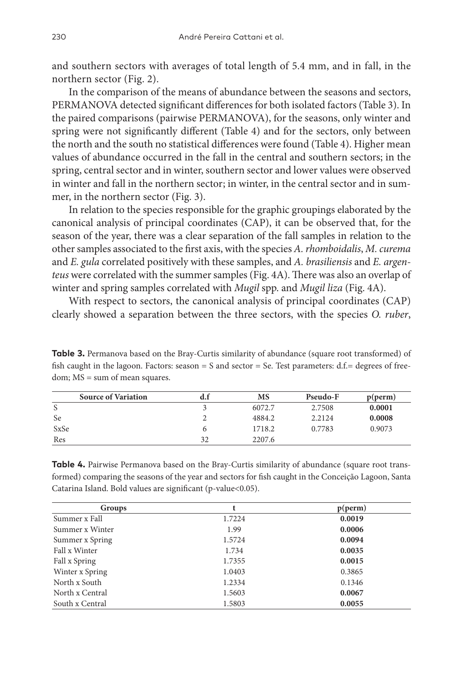and southern sectors with averages of total length of 5.4 mm, and in fall, in the northern sector (Fig. 2).

In the comparison of the means of abundance between the seasons and sectors, PERMANOVA detected significant differences for both isolated factors (Table 3). In the paired comparisons (pairwise PERMANOVA), for the seasons, only winter and spring were not significantly different (Table 4) and for the sectors, only between the north and the south no statistical differences were found (Table 4). Higher mean values of abundance occurred in the fall in the central and southern sectors; in the spring, central sector and in winter, southern sector and lower values were observed in winter and fall in the northern sector; in winter, in the central sector and in summer, in the northern sector (Fig. 3).

In relation to the species responsible for the graphic groupings elaborated by the canonical analysis of principal coordinates (CAP), it can be observed that, for the season of the year, there was a clear separation of the fall samples in relation to the other samples associated to the first axis, with the species *A. rhomboidalis*, *M. curema* and *E. gula* correlated positively with these samples, and *A. brasiliensis* and *E. argenteus* were correlated with the summer samples (Fig. 4A). There was also an overlap of winter and spring samples correlated with *Mugil* spp. and *Mugil liza* (Fig. 4A).

With respect to sectors, the canonical analysis of principal coordinates (CAP) clearly showed a separation between the three sectors, with the species *O. ruber*,

**Table 3.** Permanova based on the Bray-Curtis similarity of abundance (square root transformed) of fish caught in the lagoon. Factors: season  $= S$  and sector  $= Se$ . Test parameters: d.f. $= degrees$  of freedom; MS = sum of mean squares.

| <b>Source of Variation</b> | d.i | MS     | Pseudo-F | p(perm) |
|----------------------------|-----|--------|----------|---------|
|                            |     | 6072.7 | 2.7508   | 0.0001  |
| <b>Se</b>                  |     | 4884.2 | 2.2124   | 0.0008  |
| SxSe                       |     | 1718.2 | 0.7783   | 0.9073  |
| Res                        | 32  | 2207.6 |          |         |

**Table 4.** Pairwise Permanova based on the Bray-Curtis similarity of abundance (square root transformed) comparing the seasons of the year and sectors for fish caught in the Conceição Lagoon, Santa Catarina Island. Bold values are significant (p-value<0.05).

| Groups          |        | p(perm) |
|-----------------|--------|---------|
| Summer x Fall   | 1.7224 | 0.0019  |
| Summer x Winter | 1.99   | 0.0006  |
| Summer x Spring | 1.5724 | 0.0094  |
| Fall x Winter   | 1.734  | 0.0035  |
| Fall x Spring   | 1.7355 | 0.0015  |
| Winter x Spring | 1.0403 | 0.3865  |
| North x South   | 1.2334 | 0.1346  |
| North x Central | 1.5603 | 0.0067  |
| South x Central | 1.5803 | 0.0055  |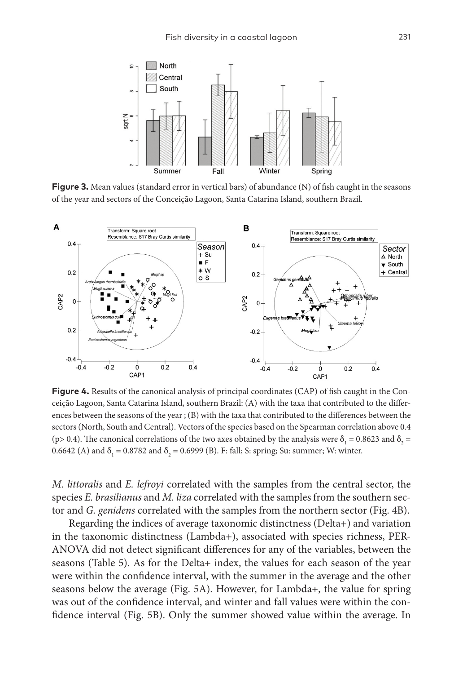

**Figure 3.** Mean values (standard error in vertical bars) of abundance (N) of fish caught in the seasons of the year and sectors of the Conceição Lagoon, Santa Catarina Island, southern Brazil.



**Figure 4.** Results of the canonical analysis of principal coordinates (CAP) of fish caught in the Conceição Lagoon, Santa Catarina Island, southern Brazil: (A) with the taxa that contributed to the differences between the seasons of the year ; (B) with the taxa that contributed to the differences between the sectors (North, South and Central). Vectors of the species based on the Spearman correlation above 0.4 (p> 0.4). The canonical correlations of the two axes obtained by the analysis were  $\delta_1 = 0.8623$  and  $\delta_2 =$ 0.6642 (A) and  $\delta_1 = 0.8782$  and  $\delta_2 = 0.6999$  (B). F: fall; S: spring; Su: summer; W: winter.

*M. littoralis* and *E. lefroyi* correlated with the samples from the central sector, the species *E. brasilianus* and *M. liza* correlated with the samples from the southern sector and *G. genidens* correlated with the samples from the northern sector (Fig. 4B).

Regarding the indices of average taxonomic distinctness (Delta+) and variation in the taxonomic distinctness (Lambda+), associated with species richness, PER-ANOVA did not detect significant differences for any of the variables, between the seasons (Table 5). As for the Delta+ index, the values for each season of the year were within the confidence interval, with the summer in the average and the other seasons below the average (Fig. 5A). However, for Lambda+, the value for spring was out of the confidence interval, and winter and fall values were within the confidence interval (Fig. 5B). Only the summer showed value within the average. In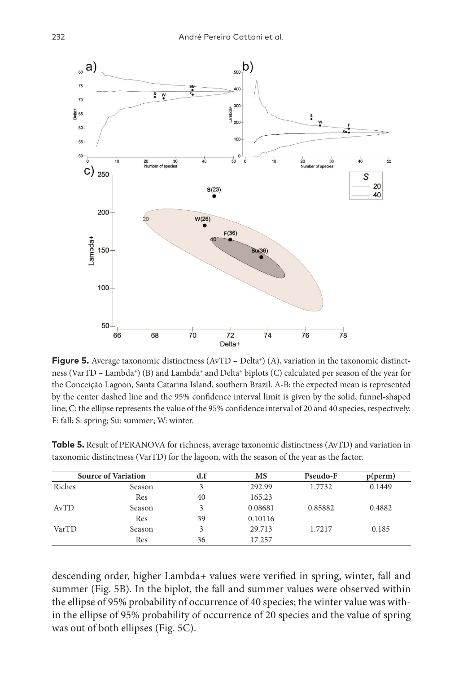

**Figure 5.** Average taxonomic distinctness  $(AvTD - Delta^*)(A)$ , variation in the taxonomic distinctness (VarTD – Lambda+) (B) and Lambda+ and Delta+ biplots (C) calculated per season of the year for the Conceição Lagoon, Santa Catarina Island, southern Brazil. A-B: the expected mean is represented by the center dashed line and the 95% confidence interval limit is given by the solid, funnel-shaped line; C: the ellipse represents the value of the 95% confidence interval of 20 and 40 species, respectively. F: fall; S: spring; Su: summer; W: winter.

|        | <b>Source of Variation</b> |    | MS      | Pseudo-F | p(perm) |
|--------|----------------------------|----|---------|----------|---------|
| Riches | Season                     |    | 292.99  | 1.7732   | 0.1449  |
|        | Res                        | 40 | 165.23  |          |         |
| AvTD   | Season                     |    | 0.08681 | 0.85882  | 0.4882  |
|        | Res                        | 39 | 0.10116 |          |         |
| VarTD  | Season                     |    | 29.713  | 1.7217   | 0.185   |
|        | Res                        | 36 | 17.257  |          |         |

**Table 5.** Result of PERANOVA for richness, average taxonomic distinctness (AvTD) and variation in taxonomic distinctness (VarTD) for the lagoon, with the season of the year as the factor.

descending order, higher Lambda+ values were verified in spring, winter, fall and summer (Fig. 5B). In the biplot, the fall and summer values were observed within the ellipse of 95% probability of occurrence of 40 species; the winter value was within the ellipse of 95% probability of occurrence of 20 species and the value of spring was out of both ellipses (Fig. 5C).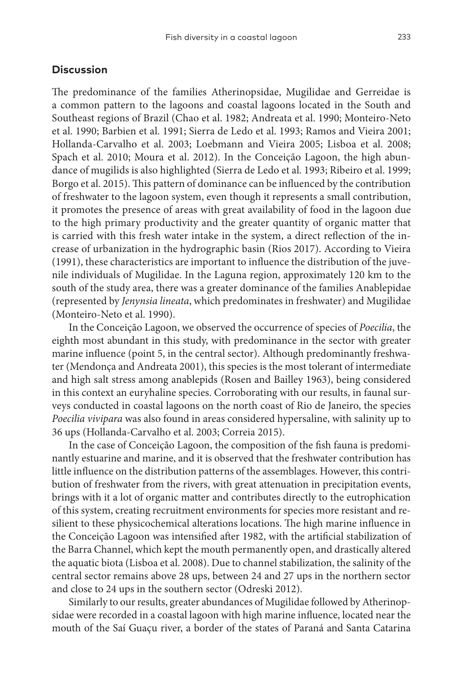## **Discussion**

The predominance of the families Atherinopsidae, Mugilidae and Gerreidae is a common pattern to the lagoons and coastal lagoons located in the South and Southeast regions of Brazil (Chao et al. 1982; Andreata et al. 1990; Monteiro-Neto et al. 1990; Barbien et al. 1991; Sierra de Ledo et al. 1993; Ramos and Vieira 2001; Hollanda-Carvalho et al. 2003; Loebmann and Vieira 2005; Lisboa et al. 2008; Spach et al. 2010; Moura et al. 2012). In the Conceição Lagoon, the high abundance of mugilids is also highlighted (Sierra de Ledo et al. 1993; Ribeiro et al. 1999; Borgo et al. 2015). This pattern of dominance can be influenced by the contribution of freshwater to the lagoon system, even though it represents a small contribution, it promotes the presence of areas with great availability of food in the lagoon due to the high primary productivity and the greater quantity of organic matter that is carried with this fresh water intake in the system, a direct reflection of the increase of urbanization in the hydrographic basin (Rios 2017). According to Vieira (1991), these characteristics are important to influence the distribution of the juvenile individuals of Mugilidae. In the Laguna region, approximately 120 km to the south of the study area, there was a greater dominance of the families Anablepidae (represented by *Jenynsia lineata*, which predominates in freshwater) and Mugilidae (Monteiro-Neto et al. 1990).

In the Conceição Lagoon, we observed the occurrence of species of *Poecilia*, the eighth most abundant in this study, with predominance in the sector with greater marine influence (point 5, in the central sector). Although predominantly freshwater (Mendonça and Andreata 2001), this species is the most tolerant of intermediate and high salt stress among anablepids (Rosen and Bailley 1963), being considered in this context an euryhaline species. Corroborating with our results, in faunal surveys conducted in coastal lagoons on the north coast of Rio de Janeiro, the species *Poecilia vivipara* was also found in areas considered hypersaline, with salinity up to 36 ups (Hollanda-Carvalho et al. 2003; Correia 2015).

In the case of Conceição Lagoon, the composition of the fish fauna is predominantly estuarine and marine, and it is observed that the freshwater contribution has little influence on the distribution patterns of the assemblages. However, this contribution of freshwater from the rivers, with great attenuation in precipitation events, brings with it a lot of organic matter and contributes directly to the eutrophication of this system, creating recruitment environments for species more resistant and resilient to these physicochemical alterations locations. The high marine influence in the Conceição Lagoon was intensified after 1982, with the artificial stabilization of the Barra Channel, which kept the mouth permanently open, and drastically altered the aquatic biota (Lisboa et al. 2008). Due to channel stabilization, the salinity of the central sector remains above 28 ups, between 24 and 27 ups in the northern sector and close to 24 ups in the southern sector (Odreski 2012).

Similarly to our results, greater abundances of Mugilidae followed by Atherinopsidae were recorded in a coastal lagoon with high marine influence, located near the mouth of the Saí Guaçu river, a border of the states of Paraná and Santa Catarina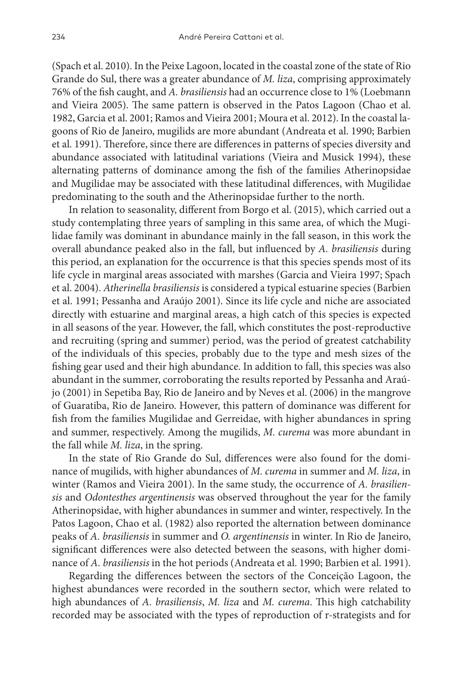(Spach et al. 2010). In the Peixe Lagoon, located in the coastal zone of the state of Rio Grande do Sul, there was a greater abundance of *M. liza*, comprising approximately 76% of the fish caught, and *A. brasiliensis* had an occurrence close to 1% (Loebmann and Vieira 2005). The same pattern is observed in the Patos Lagoon (Chao et al. 1982, Garcia et al. 2001; Ramos and Vieira 2001; Moura et al. 2012). In the coastal lagoons of Rio de Janeiro, mugilids are more abundant (Andreata et al. 1990; Barbien et al. 1991). Therefore, since there are differences in patterns of species diversity and abundance associated with latitudinal variations (Vieira and Musick 1994), these alternating patterns of dominance among the fish of the families Atherinopsidae and Mugilidae may be associated with these latitudinal differences, with Mugilidae predominating to the south and the Atherinopsidae further to the north.

In relation to seasonality, different from Borgo et al. (2015), which carried out a study contemplating three years of sampling in this same area, of which the Mugilidae family was dominant in abundance mainly in the fall season, in this work the overall abundance peaked also in the fall, but influenced by *A. brasiliensis* during this period, an explanation for the occurrence is that this species spends most of its life cycle in marginal areas associated with marshes (Garcia and Vieira 1997; Spach et al. 2004). *Atherinella brasiliensis* is considered a typical estuarine species (Barbien et al. 1991; Pessanha and Araújo 2001). Since its life cycle and niche are associated directly with estuarine and marginal areas, a high catch of this species is expected in all seasons of the year. However, the fall, which constitutes the post-reproductive and recruiting (spring and summer) period, was the period of greatest catchability of the individuals of this species, probably due to the type and mesh sizes of the fishing gear used and their high abundance. In addition to fall, this species was also abundant in the summer, corroborating the results reported by Pessanha and Araújo (2001) in Sepetiba Bay, Rio de Janeiro and by Neves et al. (2006) in the mangrove of Guaratiba, Rio de Janeiro. However, this pattern of dominance was different for fish from the families Mugilidae and Gerreidae, with higher abundances in spring and summer, respectively. Among the mugilids, *M. curema* was more abundant in the fall while *M. liza*, in the spring.

In the state of Rio Grande do Sul, differences were also found for the dominance of mugilids, with higher abundances of *M. curema* in summer and *M. liza*, in winter (Ramos and Vieira 2001). In the same study, the occurrence of *A. brasiliensis* and *Odontesthes argentinensis* was observed throughout the year for the family Atherinopsidae, with higher abundances in summer and winter, respectively. In the Patos Lagoon, Chao et al. (1982) also reported the alternation between dominance peaks of *A. brasiliensis* in summer and *O. argentinensis* in winter. In Rio de Janeiro, significant differences were also detected between the seasons, with higher dominance of *A. brasiliensis* in the hot periods (Andreata et al. 1990; Barbien et al. 1991).

Regarding the differences between the sectors of the Conceição Lagoon, the highest abundances were recorded in the southern sector, which were related to high abundances of *A. brasiliensis*, *M. liza* and *M. curema*. This high catchability recorded may be associated with the types of reproduction of r-strategists and for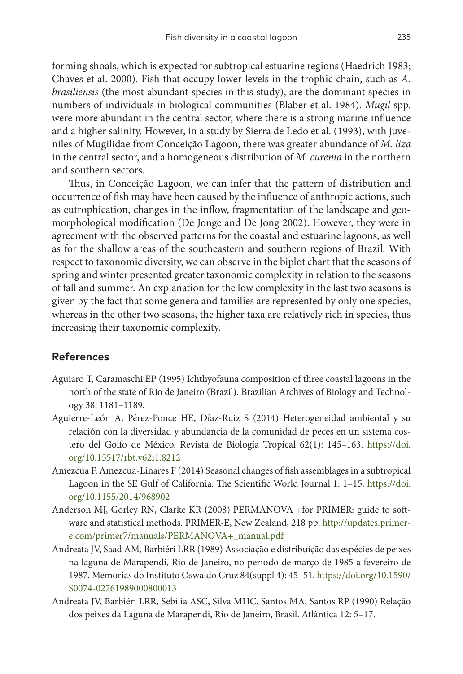forming shoals, which is expected for subtropical estuarine regions (Haedrich 1983; Chaves et al. 2000). Fish that occupy lower levels in the trophic chain, such as *A. brasiliensis* (the most abundant species in this study), are the dominant species in numbers of individuals in biological communities (Blaber et al. 1984). *Mugil* spp. were more abundant in the central sector, where there is a strong marine influence and a higher salinity. However, in a study by Sierra de Ledo et al. (1993), with juveniles of Mugilidae from Conceição Lagoon, there was greater abundance of *M. liza* in the central sector, and a homogeneous distribution of *M. curema* in the northern and southern sectors.

Thus, in Conceição Lagoon, we can infer that the pattern of distribution and occurrence of fish may have been caused by the influence of anthropic actions, such as eutrophication, changes in the inflow, fragmentation of the landscape and geomorphological modification (De Jonge and De Jong 2002). However, they were in agreement with the observed patterns for the coastal and estuarine lagoons, as well as for the shallow areas of the southeastern and southern regions of Brazil. With respect to taxonomic diversity, we can observe in the biplot chart that the seasons of spring and winter presented greater taxonomic complexity in relation to the seasons of fall and summer. An explanation for the low complexity in the last two seasons is given by the fact that some genera and families are represented by only one species, whereas in the other two seasons, the higher taxa are relatively rich in species, thus increasing their taxonomic complexity.

## **References**

- Aguiaro T, Caramaschi EP (1995) Ichthyofauna composition of three coastal lagoons in the north of the state of Rio de Janeiro (Brazil). Brazilian Archives of Biology and Technology 38: 1181–1189.
- Aguierre-León A, Pérez-Ponce HE, Díaz-Ruiz S (2014) Heterogeneidad ambiental y su relación con la diversidad y abundancia de la comunidad de peces en un sistema costero del Golfo de México. Revista de Biología Tropical 62(1): 145–163. [https://doi.](https://doi.org/10.15517/rbt.v62i1.8212) [org/10.15517/rbt.v62i1.8212](https://doi.org/10.15517/rbt.v62i1.8212)
- Amezcua F, Amezcua-Linares F (2014) Seasonal changes of fish assemblages in a subtropical Lagoon in the SE Gulf of California. The Scientific World Journal 1: 1–15. [https://doi.](https://doi.org/10.1155/2014/968902) [org/10.1155/2014/968902](https://doi.org/10.1155/2014/968902)
- Anderson MJ, Gorley RN, Clarke KR (2008) PERMANOVA +for PRIMER: guide to software and statistical methods. PRIMER-E, New Zealand, 218 pp. [http://updates.primer](http://updates.primer-e.com/primer7/manuals/PERMANOVA+_manual.pdf)[e.com/primer7/manuals/PERMANOVA+\\_manual.pdf](http://updates.primer-e.com/primer7/manuals/PERMANOVA+_manual.pdf)
- Andreata JV, Saad AM, Barbiéri LRR (1989) Associação e distribuição das espécies de peixes na laguna de Marapendi, Rio de Janeiro, no período de março de 1985 a fevereiro de 1987. Memorias do Instituto Oswaldo Cruz 84(suppl 4): 45–51. [https://doi.org/10.1590/](https://doi.org/10.1590/S0074-02761989000800013) [S0074-02761989000800013](https://doi.org/10.1590/S0074-02761989000800013)
- Andreata JV, Barbiéri LRR, Sebília ASC, Silva MHC, Santos MA, Santos RP (1990) Relação dos peixes da Laguna de Marapendi, Rio de Janeiro, Brasil. Atlântica 12: 5–17.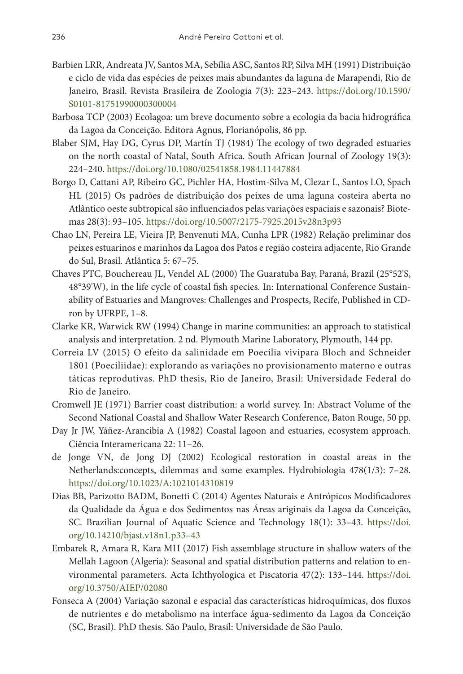- Barbien LRR, Andreata JV, Santos MA, Sebília ASC, Santos RP, Silva MH (1991) Distribuição e ciclo de vida das espécies de peixes mais abundantes da laguna de Marapendi, Rio de Janeiro, Brasil. Revista Brasileira de Zoologia 7(3): 223–243. [https://doi.org/10.1590/](https://doi.org/10.1590/S0101-81751990000300004) [S0101-81751990000300004](https://doi.org/10.1590/S0101-81751990000300004)
- Barbosa TCP (2003) Ecolagoa: um breve documento sobre a ecologia da bacia hidrográfica da Lagoa da Conceição. Editora Agnus, Florianópolis, 86 pp.
- Blaber SJM, Hay DG, Cyrus DP, Martín TJ (1984) The ecology of two degraded estuaries on the north coastal of Natal, South Africa. South African Journal of Zoology 19(3): 224–240. <https://doi.org/10.1080/02541858.1984.11447884>
- Borgo D, Cattani AP, Ribeiro GC, Pichler HA, Hostim-Silva M, Clezar L, Santos LO, Spach HL (2015) Os padrões de distribuição dos peixes de uma laguna costeira aberta no Atlântico oeste subtropical são influenciados pelas variações espaciais e sazonais? Biotemas 28(3): 93–105. <https://doi.org/10.5007/2175-7925.2015v28n3p93>
- Chao LN, Pereira LE, Vieira JP, Benvenuti MA, Cunha LPR (1982) Relação preliminar dos peixes estuarinos e marinhos da Lagoa dos Patos e região costeira adjacente, Rio Grande do Sul, Brasil. Atlântica 5: 67–75.
- Chaves PTC, Bouchereau JL, Vendel AL (2000) The Guaratuba Bay, Paraná, Brazil (25°52'S, 48°39'W), in the life cycle of coastal fish species. In: International Conference Sustainability of Estuaries and Mangroves: Challenges and Prospects, Recife, Published in CDron by UFRPE, 1–8.
- Clarke KR, Warwick RW (1994) Change in marine communities: an approach to statistical analysis and interpretation. 2 nd. Plymouth Marine Laboratory, Plymouth, 144 pp.
- Correia LV (2015) O efeito da salinidade em Poecilia vivipara Bloch and Schneider 1801 (Poeciliidae): explorando as variações no provisionamento materno e outras táticas reprodutivas. PhD thesis, Rio de Janeiro, Brasil: Universidade Federal do Rio de Janeiro.
- Cromwell JE (1971) Barrier coast distribution: a world survey. In: Abstract Volume of the Second National Coastal and Shallow Water Research Conference, Baton Rouge, 50 pp.
- Day Jr JW, Yáñez-Arancibia A (1982) Coastal lagoon and estuaries, ecosystem approach. Ciência Interamericana 22: 11–26.
- de Jonge VN, de Jong DJ (2002) Ecological restoration in coastal areas in the Netherlands:concepts, dilemmas and some examples. Hydrobiologia 478(1/3): 7–28. <https://doi.org/10.1023/A:1021014310819>
- Dias BB, Parizotto BADM, Bonetti C (2014) Agentes Naturais e Antrópicos Modificadores da Qualidade da Água e dos Sedimentos nas Áreas ariginais da Lagoa da Conceição, SC. Brazilian Journal of Aquatic Science and Technology 18(1): 33–43. [https://doi.](https://doi.org/10.14210/bjast.v18n1.p33%E2%80%9343) [org/10.14210/bjast.v18n1.p33–43](https://doi.org/10.14210/bjast.v18n1.p33%E2%80%9343)
- Embarek R, Amara R, Kara MH (2017) Fish assemblage structure in shallow waters of the Mellah Lagoon (Algeria): Seasonal and spatial distribution patterns and relation to environmental parameters. Acta Ichthyologica et Piscatoria 47(2): 133–144. [https://doi.](https://doi.org/10.3750/AIEP/02080) [org/10.3750/AIEP/02080](https://doi.org/10.3750/AIEP/02080)
- Fonseca A (2004) Variação sazonal e espacial das características hidroquímicas, dos fluxos de nutrientes e do metabolismo na interface água-sedimento da Lagoa da Conceição (SC, Brasil). PhD thesis. São Paulo, Brasil: Universidade de São Paulo.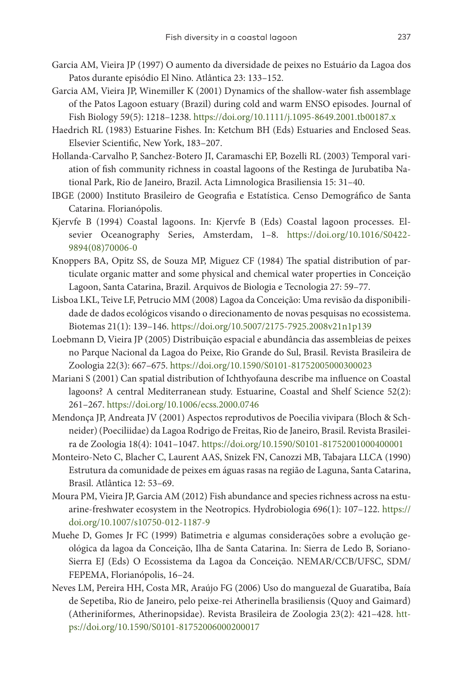- Garcia AM, Vieira JP (1997) O aumento da diversidade de peixes no Estuário da Lagoa dos Patos durante episódio El Nino. Atlântica 23: 133–152.
- Garcia AM, Vieira JP, Winemiller K (2001) Dynamics of the shallow-water fish assemblage of the Patos Lagoon estuary (Brazil) during cold and warm ENSO episodes. Journal of Fish Biology 59(5): 1218–1238. <https://doi.org/10.1111/j.1095-8649.2001.tb00187.x>
- Haedrich RL (1983) Estuarine Fishes. In: Ketchum BH (Eds) Estuaries and Enclosed Seas. Elsevier Scientific, New York, 183–207.
- Hollanda-Carvalho P, Sanchez-Botero JI, Caramaschi EP, Bozelli RL (2003) Temporal variation of fish community richness in coastal lagoons of the Restinga de Jurubatiba National Park, Rio de Janeiro, Brazil. Acta Limnologica Brasiliensia 15: 31–40.
- IBGE (2000) Instituto Brasileiro de Geografia e Estatística. Censo Demográfico de Santa Catarina. Florianópolis.
- Kjervfe B (1994) Coastal lagoons. In: Kjervfe B (Eds) Coastal lagoon processes. Elsevier Oceanography Series, Amsterdam, 1–8. [https://doi.org/10.1016/S0422-](https://doi.org/10.1016/S0422-9894(08)70006-0) [9894\(08\)70006-0](https://doi.org/10.1016/S0422-9894(08)70006-0)
- Knoppers BA, Opitz SS, de Souza MP, Miguez CF (1984) The spatial distribution of particulate organic matter and some physical and chemical water properties in Conceição Lagoon, Santa Catarina, Brazil. Arquivos de Biologia e Tecnologia 27: 59–77.
- Lisboa LKL, Teive LF, Petrucio MM (2008) Lagoa da Conceição: Uma revisão da disponibilidade de dados ecológicos visando o direcionamento de novas pesquisas no ecossistema. Biotemas 21(1): 139–146.<https://doi.org/10.5007/2175-7925.2008v21n1p139>
- Loebmann D, Vieira JP (2005) Distribuição espacial e abundância das assembleias de peixes no Parque Nacional da Lagoa do Peixe, Rio Grande do Sul, Brasil. Revista Brasileira de Zoologia 22(3): 667–675. <https://doi.org/10.1590/S0101-81752005000300023>
- Mariani S (2001) Can spatial distribution of Ichthyofauna describe ma influence on Coastal lagoons? A central Mediterranean study. Estuarine, Coastal and Shelf Science 52(2): 261–267. <https://doi.org/10.1006/ecss.2000.0746>
- Mendonça JP, Andreata JV (2001) Aspectos reprodutivos de Poecilia vivipara (Bloch & Schneider) (Poeciliidae) da Lagoa Rodrigo de Freitas, Rio de Janeiro, Brasil. Revista Brasileira de Zoologia 18(4): 1041–1047. <https://doi.org/10.1590/S0101-81752001000400001>
- Monteiro-Neto C, Blacher C, Laurent AAS, Snizek FN, Canozzi MB, Tabajara LLCA (1990) Estrutura da comunidade de peixes em águas rasas na região de Laguna, Santa Catarina, Brasil. Atlântica 12: 53–69.
- Moura PM, Vieira JP, Garcia AM (2012) Fish abundance and species richness across na estuarine-freshwater ecosystem in the Neotropics. Hydrobiologia 696(1): 107–122. [https://](https://doi.org/10.1007/s10750-012-1187-9) [doi.org/10.1007/s10750-012-1187-9](https://doi.org/10.1007/s10750-012-1187-9)
- Muehe D, Gomes Jr FC (1999) Batimetria e algumas considerações sobre a evolução geológica da lagoa da Conceição, Ilha de Santa Catarina. In: Sierra de Ledo B, Soriano-Sierra EJ (Eds) O Ecossistema da Lagoa da Conceição. NEMAR/CCB/UFSC, SDM/ FEPEMA, Florianópolis, 16–24.
- Neves LM, Pereira HH, Costa MR, Araújo FG (2006) Uso do manguezal de Guaratiba, Baía de Sepetiba, Rio de Janeiro, pelo peixe-rei Atherinella brasiliensis (Quoy and Gaimard) (Atheriniformes, Atherinopsidae). Revista Brasileira de Zoologia 23(2): 421–428. [htt](https://doi.org/10.1590/S0101-81752006000200017)[ps://doi.org/10.1590/S0101-81752006000200017](https://doi.org/10.1590/S0101-81752006000200017)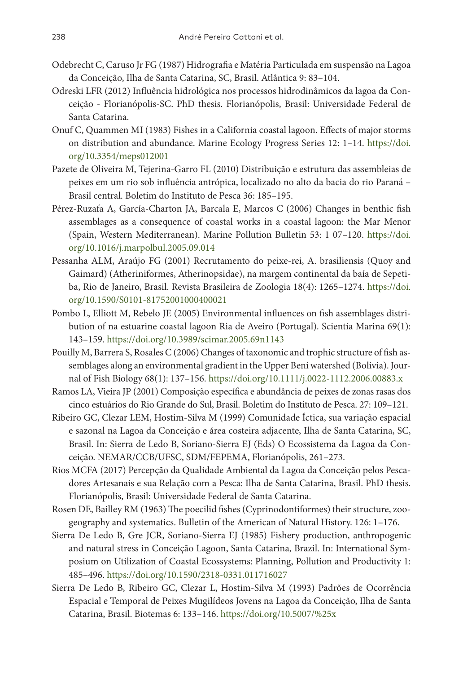- Odebrecht C, Caruso Jr FG (1987) Hidrografia e Matéria Particulada em suspensão na Lagoa da Conceição, Ilha de Santa Catarina, SC, Brasil. Atlântica 9: 83–104.
- Odreski LFR (2012) Influência hidrológica nos processos hidrodinâmicos da lagoa da Conceição - Florianópolis-SC. PhD thesis. Florianópolis, Brasil: Universidade Federal de Santa Catarina.
- Onuf C, Quammen MI (1983) Fishes in a California coastal lagoon. Effects of major storms on distribution and abundance. Marine Ecology Progress Series 12: 1–14. [https://doi.](https://doi.org/10.3354/meps012001) [org/10.3354/meps012001](https://doi.org/10.3354/meps012001)
- Pazete de Oliveira M, Tejerina-Garro FL (2010) Distribuição e estrutura das assembleias de peixes em um rio sob influência antrópica, localizado no alto da bacia do rio Paraná – Brasil central. Boletim do Instituto de Pesca 36: 185–195.
- Pérez-Ruzafa A, García-Charton JA, Barcala E, Marcos C (2006) Changes in benthic fish assemblages as a consequence of coastal works in a coastal lagoon: the Mar Menor (Spain, Western Mediterranean). Marine Pollution Bulletin 53: 1 07–120. [https://doi.](https://doi.org/10.1016/j.marpolbul.2005.09.014) [org/10.1016/j.marpolbul.2005.09.014](https://doi.org/10.1016/j.marpolbul.2005.09.014)
- Pessanha ALM, Araújo FG (2001) Recrutamento do peixe-rei, A. brasiliensis (Quoy and Gaimard) (Atheriniformes, Atherinopsidae), na margem continental da baía de Sepetiba, Rio de Janeiro, Brasil. Revista Brasileira de Zoologia 18(4): 1265–1274. [https://doi.](https://doi.org/10.1590/S0101-81752001000400021) [org/10.1590/S0101-81752001000400021](https://doi.org/10.1590/S0101-81752001000400021)
- Pombo L, Elliott M, Rebelo JE (2005) Environmental influences on fish assemblages distribution of na estuarine coastal lagoon Ria de Aveiro (Portugal). Scientia Marina 69(1): 143–159. <https://doi.org/10.3989/scimar.2005.69n1143>
- Pouilly M, Barrera S, Rosales C (2006) Changes of taxonomic and trophic structure of fish assemblages along an environmental gradient in the Upper Beni watershed (Bolivia). Journal of Fish Biology 68(1): 137–156. <https://doi.org/10.1111/j.0022-1112.2006.00883.x>
- Ramos LA, Vieira JP (2001) Composição específica e abundância de peixes de zonas rasas dos cinco estuários do Rio Grande do Sul, Brasil. Boletim do Instituto de Pesca. 27: 109–121.
- Ribeiro GC, Clezar LEM, Hostim-Silva M (1999) Comunidade Íctica, sua variação espacial e sazonal na Lagoa da Conceição e área costeira adjacente, Ilha de Santa Catarina, SC, Brasil. In: Sierra de Ledo B, Soriano-Sierra EJ (Eds) O Ecossistema da Lagoa da Conceição. NEMAR/CCB/UFSC, SDM/FEPEMA, Florianópolis, 261–273.
- Rios MCFA (2017) Percepção da Qualidade Ambiental da Lagoa da Conceição pelos Pescadores Artesanais e sua Relação com a Pesca: Ilha de Santa Catarina, Brasil. PhD thesis. Florianópolis, Brasil: Universidade Federal de Santa Catarina.
- Rosen DE, Bailley RM (1963) The poecilid fishes (Cyprinodontiformes) their structure, zoogeography and systematics. Bulletin of the American of Natural History. 126: 1–176.
- Sierra De Ledo B, Gre JCR, Soriano-Sierra EJ (1985) Fishery production, anthropogenic and natural stress in Conceição Lagoon, Santa Catarina, Brazil. In: International Symposium on Utilization of Coastal Ecossystems: Planning, Pollution and Productivity 1: 485–496. <https://doi.org/10.1590/2318-0331.011716027>
- Sierra De Ledo B, Ribeiro GC, Clezar L, Hostim-Silva M (1993) Padrões de Ocorrência Espacial e Temporal de Peixes Mugilídeos Jovens na Lagoa da Conceição, Ilha de Santa Catarina, Brasil. Biotemas 6: 133–146. <https://doi.org/10.5007/%25x>